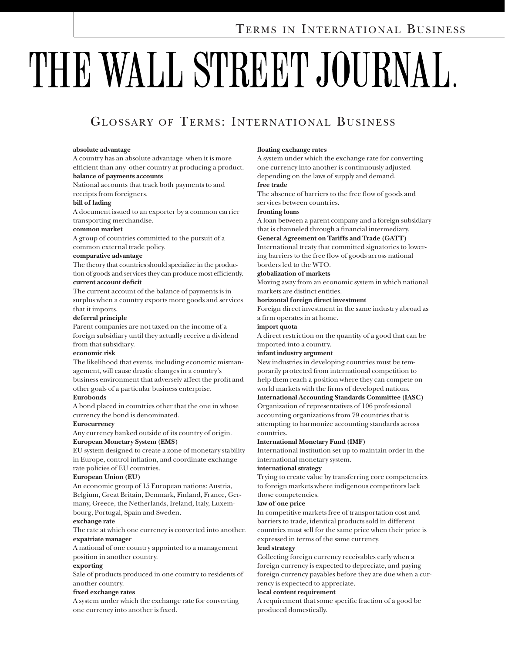# THE WALL STREET JOURNAL.

# GLOSSARY OF TERMS: INTERNATIONAL BUSINESS

#### **absolute advantage**

A country has an absolute advantage when it is more efficient than any other country at producing a product. **balance of payments accounts**

# National accounts that track both payments to and

receipts from foreigners.

#### **bill of lading**

A document issued to an exporter by a common carrier transporting merchandise.

#### **common market**

A group of countries committed to the pursuit of a common external trade policy.

#### **comparative advantage**

The theory that countries should specialize in the production of goods and services they can produce most efficiently. **current account deficit**

The current account of the balance of payments is in surplus when a country exports more goods and services that it imports.

#### **deferral principle**

Parent companies are not taxed on the income of a foreign subsidiary until they actually receive a dividend from that subsidiary.

#### **economic risk**

The likelihood that events, including economic mismanagement, will cause drastic changes in a country's business environment that adversely affect the profit and other goals of a particular business enterprise.

#### **Eurobonds**

A bond placed in countries other that the one in whose currency the bond is denominated.

#### **Eurocurrency**

Any currency banked outside of its country of origin. **European Monetary System (EMS)**

EU system designed to create a zone of monetary stability in Europe, control inflation, and coordinate exchange rate policies of EU countries.

#### **European Union (EU)**

An economic group of 15 European nations: Austria, Belgium, Great Britain, Denmark, Finland, France, Germany, Greece, the Netherlands, Ireland, Italy, Luxembourg, Portugal, Spain and Sweden.

#### **exchange rate**

The rate at which one currency is converted into another. **expatriate manager**

A national of one country appointed to a management position in another country.

#### **exporting**

Sale of products produced in one country to residents of another country.

#### **fixed exchange rates**

A system under which the exchange rate for converting one currency into another is fixed.

#### **floating exchange rates**

A system under which the exchange rate for converting one currency into another is continuously adjusted depending on the laws of supply and demand.

# **free trade**

The absence of barriers to the free flow of goods and services between countries.

#### **fronting loan**s

A loan between a parent company and a foreign subsidiary that is channeled through a financial intermediary.

#### **General Agreement on Tariffs and Trade (GATT)**

International treaty that committed signatories to lowering barriers to the free flow of goods across national borders led to the WTO.

#### **globalization of markets**

Moving away from an economic system in which national markets are distinct entities.

#### **horizontal foreign direct investment**

Foreign direct investment in the same industry abroad as a firm operates in at home.

#### **import quota**

A direct restriction on the quantity of a good that can be imported into a country.

#### **infant industry argument**

New industries in developing countries must be temporarily protected from international competition to help them reach a position where they can compete on world markets with the firms of developed nations.

#### **International Accounting Standards Committee (IASC)**

Organization of representatives of 106 professional accounting organizations from 79 countries that is attempting to harmonize accounting standards across countries.

#### **International Monetary Fund (IMF)**

International institution set up to maintain order in the international monetary system.

#### **international strategy**

Trying to create value by transferring core competencies to foreign markets where indigenous competitors lack those competencies.

#### **law of one price**

In competitive markets free of transportation cost and barriers to trade, identical products sold in different countries must sell for the same price when their price is expressed in terms of the same currency.

#### **lead strategy**

Collecting foreign currency receivables early when a foreign currency is expected to depreciate, and paying foreign currency payables before they are due when a currency is expectecd to appreciate.

#### **local content requirement**

A requirement that some specific fraction of a good be produced domestically.